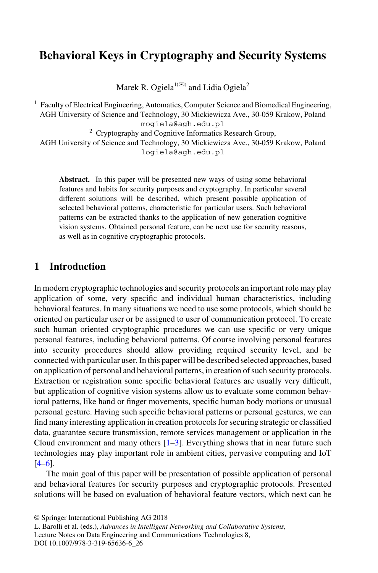# **Behavioral Keys in Cryptography and Security Systems**

Marek R. Ogiela $^{1(\boxtimes)}$  and Lidia Ogiela<sup>2</sup>

<sup>1</sup> Faculty of Electrical Engineering, Automatics, Computer Science and Biomedical Engineering, AGH University of Science and Technology, 30 Mickiewicza Ave., 30-059 Krakow, Poland mogiela@agh.edu.pl  $2$  Cryptography and Cognitive Informatics Research Group, AGH University of Science and Technology, 30 Mickiewicza Ave., 30-059 Krakow, Poland logiela@agh.edu.pl

**Abstract.** In this paper will be presented new ways of using some behavioral features and habits for security purposes and cryptography. In particular several different solutions will be described, which present possible application of selected behavioral patterns, characteristic for particular users. Such behavioral patterns can be extracted thanks to the application of new generation cognitive vision systems. Obtained personal feature, can be next use for security reasons, as well as in cognitive cryptographic protocols.

# **1 Introduction**

In modern cryptographic technologies and security protocols an important role may play application of some, very specific and individual human characteristics, including behavioral features. In many situations we need to use some protocols, which should be oriented on particular user or be assigned to user of communication protocol. To create such human oriented cryptographic procedures we can use specific or very unique personal features, including behavioral patterns. Of course involving personal features into security procedures should allow providing required security level, and be connected with particular user. In this paper will be described selected approaches, based on application of personal and behavioral patterns, in creation of such security protocols. Extraction or registration some specific behavioral features are usually very difficult, but application of cognitive vision systems allow us to evaluate some common behavioral patterns, like hand or finger movements, specific human body motions or unusual personal gesture. Having such specific behavioral patterns or personal gestures, we can find many interesting application in creation protocols for securing strategic or classified data, guarantee secure transmission, remote services management or application in the Cloud environment and many others  $[1-3]$ . Everything shows that in near future such technologies may play important role in ambient cities, pervasive computing and IoT  $[4–6]$ .

The main goal of this paper will be presentation of possible application of personal and behavioral features for security purposes and cryptographic protocols. Presented solutions will be based on evaluation of behavioral feature vectors, which next can be

<sup>©</sup> Springer International Publishing AG 2018

L. Barolli et al. (eds.), *Advances in Intelligent Networking and Collaborative Systems,* Lecture Notes on Data Engineering and Communications Technologies 8, DOI 10.1007/978-3-319-65636-6\_26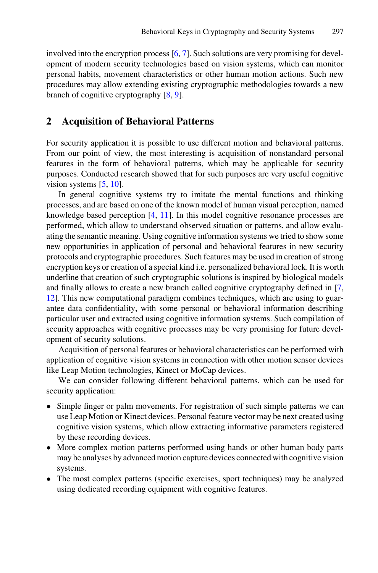involved into the encryption process  $[6, 7]$  $[6, 7]$  $[6, 7]$ . Such solutions are very promising for development of modern security technologies based on vision systems, which can monitor personal habits, movement characteristics or other human motion actions. Such new procedures may allow extending existing cryptographic methodologies towards a new branch of cognitive cryptography [\[8](#page-4-0), [9](#page-4-0)].

#### **2 Acquisition of Behavioral Patterns**

For security application it is possible to use different motion and behavioral patterns. From our point of view, the most interesting is acquisition of nonstandard personal features in the form of behavioral patterns, which may be applicable for security purposes. Conducted research showed that for such purposes are very useful cognitive vision systems [\[5](#page-4-0), [10](#page-4-0)].

In general cognitive systems try to imitate the mental functions and thinking processes, and are based on one of the known model of human visual perception, named knowledge based perception [[4](#page-4-0), [11](#page-4-0)]. In this model cognitive resonance processes are performed, which allow to understand observed situation or patterns, and allow evalu‐ ating the semantic meaning. Using cognitive information systems we tried to show some new opportunities in application of personal and behavioral features in new security protocols and cryptographic procedures. Such features may be used in creation of strong encryption keys or creation of a special kind i.e. personalized behavioral lock. It is worth underline that creation of such cryptographic solutions is inspired by biological models and finally allows to create a new branch called cognitive cryptography defined in [\[7](#page-4-0), [12\]](#page-4-0). This new computational paradigm combines techniques, which are using to guar‐ antee data confidentiality, with some personal or behavioral information describing particular user and extracted using cognitive information systems. Such compilation of security approaches with cognitive processes may be very promising for future development of security solutions.

Acquisition of personal features or behavioral characteristics can be performed with application of cognitive vision systems in connection with other motion sensor devices like Leap Motion technologies, Kinect or MoCap devices.

We can consider following different behavioral patterns, which can be used for security application:

- Simple finger or palm movements. For registration of such simple patterns we can use Leap Motion or Kinect devices. Personal feature vector may be next created using cognitive vision systems, which allow extracting informative parameters registered by these recording devices.
- More complex motion patterns performed using hands or other human body parts may be analyses by advanced motion capture devices connected with cognitive vision systems.
- The most complex patterns (specific exercises, sport techniques) may be analyzed using dedicated recording equipment with cognitive features.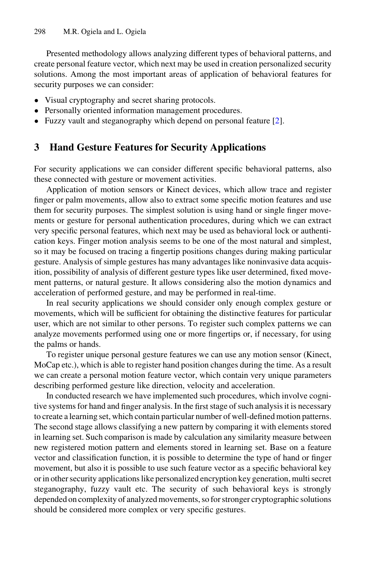Presented methodology allows analyzing different types of behavioral patterns, and create personal feature vector, which next may be used in creation personalized security solutions. Among the most important areas of application of behavioral features for security purposes we can consider:

- Visual cryptography and secret sharing protocols.
- Personally oriented information management procedures.
- Fuzzy vault and steganography which depend on personal feature [[2](#page-4-0)].

## **3 Hand Gesture Features for Security Applications**

For security applications we can consider different specific behavioral patterns, also these connected with gesture or movement activities.

Application of motion sensors or Kinect devices, which allow trace and register finger or palm movements, allow also to extract some specific motion features and use them for security purposes. The simplest solution is using hand or single finger movements or gesture for personal authentication procedures, during which we can extract very specific personal features, which next may be used as behavioral lock or authentication keys. Finger motion analysis seems to be one of the most natural and simplest, so it may be focused on tracing a fingertip positions changes during making particular gesture. Analysis of simple gestures has many advantages like noninvasive data acquis‐ ition, possibility of analysis of different gesture types like user determined, fixed move‐ ment patterns, or natural gesture. It allows considering also the motion dynamics and acceleration of performed gesture, and may be performed in real-time.

In real security applications we should consider only enough complex gesture or movements, which will be sufficient for obtaining the distinctive features for particular user, which are not similar to other persons. To register such complex patterns we can analyze movements performed using one or more fingertips or, if necessary, for using the palms or hands.

To register unique personal gesture features we can use any motion sensor (Kinect, MoCap etc.), which is able to register hand position changes during the time. As a result we can create a personal motion feature vector, which contain very unique parameters describing performed gesture like direction, velocity and acceleration.

In conducted research we have implemented such procedures, which involve cognitive systems for hand and finger analysis. In the first stage of such analysis it is necessary to create a learning set, which contain particular number of well-defined motion patterns. The second stage allows classifying a new pattern by comparing it with elements stored in learning set. Such comparison is made by calculation any similarity measure between new registered motion pattern and elements stored in learning set. Base on a feature vector and classification function, it is possible to determine the type of hand or finger movement, but also it is possible to use such feature vector as a specific behavioral key or in other security applications like personalized encryption key generation, multi secret steganography, fuzzy vault etc. The security of such behavioral keys is strongly depended on complexity of analyzed movements, so for stronger cryptographic solutions should be considered more complex or very specific gestures.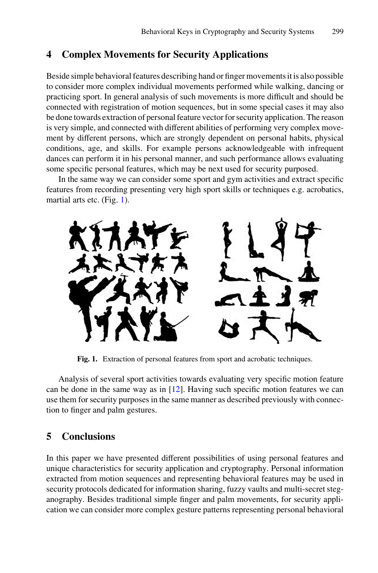### **4 Complex Movements for Security Applications**

Beside simple behavioral features describing hand or finger movements it is also possible to consider more complex individual movements performed while walking, dancing or practicing sport. In general analysis of such movements is more difficult and should be connected with registration of motion sequences, but in some special cases it may also be done towards extraction of personal feature vector for security application. The reason is very simple, and connected with different abilities of performing very complex movement by different persons, which are strongly dependent on personal habits, physical conditions, age, and skills. For example persons acknowledgeable with infrequent dances can perform it in his personal manner, and such performance allows evaluating some specific personal features, which may be next used for security purposed.

In the same way we can consider some sport and gym activities and extract specific features from recording presenting very high sport skills or techniques e.g. acrobatics, martial arts etc. (Fig. 1).



**Fig. 1.** Extraction of personal features from sport and acrobatic techniques.

Analysis of several sport activities towards evaluating very specific motion feature can be done in the same way as in [[12\]](#page-4-0). Having such specific motion features we can use them for security purposes in the same manner as described previously with connection to finger and palm gestures.

### **5 Conclusions**

In this paper we have presented different possibilities of using personal features and unique characteristics for security application and cryptography. Personal information extracted from motion sequences and representing behavioral features may be used in security protocols dedicated for information sharing, fuzzy vaults and multi-secret steganography. Besides traditional simple finger and palm movements, for security appli‐ cation we can consider more complex gesture patterns representing personal behavioral